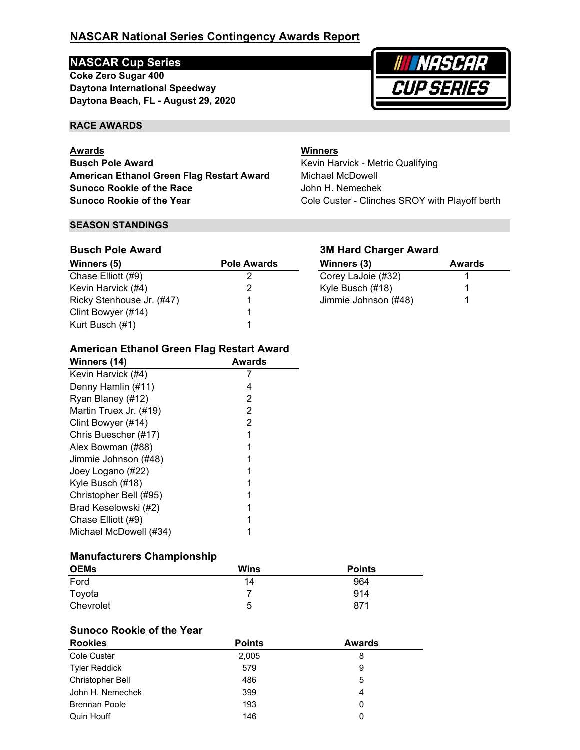# **NASCAR National Series Contingency Awards Report**

# **NASCAR Cup Series**

**Daytona International Speedway Coke Zero Sugar 400 Daytona Beach, FL - August 29, 2020**



#### **RACE AWARDS**

#### **Awards**

**Busch Pole Award American Ethanol Green Flag Restart Award Sunoco Rookie of the Race Sunoco Rookie of the Year**

#### **SEASON STANDINGS**

## **Busch Pole Award**

| Winners (5)               | <b>Pole Awards</b> | Winners (3)          | <b>Awards</b> |
|---------------------------|--------------------|----------------------|---------------|
| Chase Elliott (#9)        |                    | Corey LaJoie (#32)   |               |
| Kevin Harvick (#4)        |                    | Kyle Busch (#18)     |               |
| Ricky Stenhouse Jr. (#47) |                    | Jimmie Johnson (#48) |               |
| Clint Bowyer (#14)        |                    |                      |               |
| Kurt Busch (#1)           |                    |                      |               |

#### **3M Hard Charger Award**

Kevin Harvick - Metric Qualifying

**Winners**

Michael McDowell John H. Nemechek

| Winners (3)          | Awards |
|----------------------|--------|
| Corey LaJoie (#32)   |        |
| Kyle Busch (#18)     |        |
| Jimmie Johnson (#48) |        |

Cole Custer - Clinches SROY with Playoff berth

# **American Ethanol Green Flag Restart Award**

| Winners (14)           | Awards |
|------------------------|--------|
| Kevin Harvick (#4)     |        |
| Denny Hamlin (#11)     | 4      |
| Ryan Blaney (#12)      | 2      |
| Martin Truex Jr. (#19) | 2      |
| Clint Bowyer (#14)     | 2      |
| Chris Buescher (#17)   |        |
| Alex Bowman (#88)      |        |
| Jimmie Johnson (#48)   |        |
| Joey Logano (#22)      |        |
| Kyle Busch (#18)       |        |
| Christopher Bell (#95) |        |
| Brad Keselowski (#2)   |        |
| Chase Elliott (#9)     |        |
| Michael McDowell (#34) |        |
|                        |        |

#### **Manufacturers Championship**

| <b>OEMs</b> | <b>Wins</b> | <b>Points</b> |
|-------------|-------------|---------------|
| Ford        | 14          | 964           |
| Toyota      |             | 914           |
| Chevrolet   | 5           | 871           |

#### **Sunoco Rookie of the Year**

| <b>Rookies</b>          | <b>Points</b> | <b>Awards</b> |  |
|-------------------------|---------------|---------------|--|
| Cole Custer             | 2,005         | 8             |  |
| Tyler Reddick           | 579           | 9             |  |
| <b>Christopher Bell</b> | 486           | 5             |  |
| John H. Nemechek        | 399           |               |  |
| <b>Brennan Poole</b>    | 193           | 0             |  |
| Quin Houff              | 146           | 0             |  |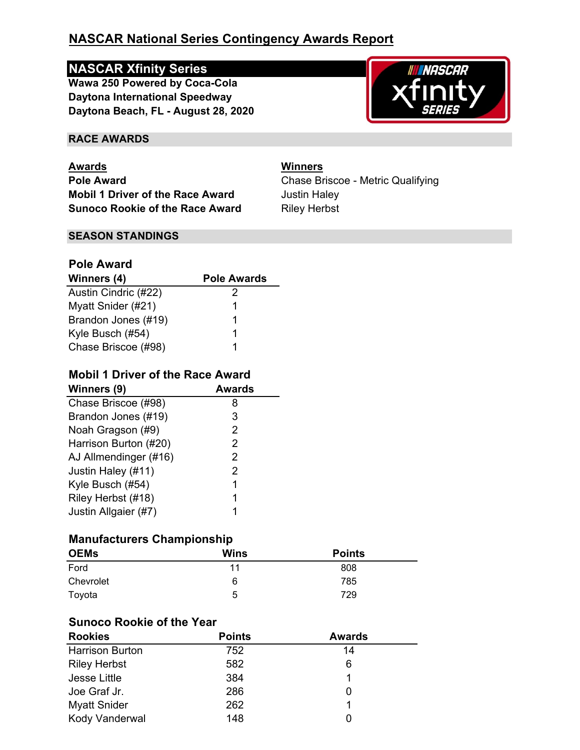# **NASCAR National Series Contingency Awards Report**

# **NASCAR Xfinity Series**

**Daytona Beach, FL - August 28, 2020 Wawa 250 Powered by Coca-Cola Daytona International Speedway**



#### **RACE AWARDS**

**Awards Winners Pole Award Pole Award Chase Briscoe - Metric Qualifying Mobil 1 Driver of the Race Award** Justin Haley **Sunoco Rookie of the Race Award Riley Herbst** 

#### **SEASON STANDINGS**

# **Pole Award**

| Winners (4)          | <b>Pole Awards</b> |
|----------------------|--------------------|
| Austin Cindric (#22) | 2                  |
| Myatt Snider (#21)   | 1                  |
| Brandon Jones (#19)  | 1                  |
| Kyle Busch (#54)     | 1                  |
| Chase Briscoe (#98)  |                    |

## **Mobil 1 Driver of the Race Award**

| <b>Awards</b> |
|---------------|
| 8             |
| 3             |
| 2             |
| 2             |
| 2             |
| 2             |
| 1             |
| 1             |
|               |
|               |

# **Manufacturers Championship**

| <b>OEMs</b> | <b>Wins</b> | <b>Points</b> |  |
|-------------|-------------|---------------|--|
| Ford        | 11          | 808           |  |
| Chevrolet   | 6           | 785           |  |
| Toyota      | 5           | 729           |  |

# **Sunoco Rookie of the Year**

| <b>Rookies</b>         | <b>Points</b> | <b>Awards</b> |  |
|------------------------|---------------|---------------|--|
| <b>Harrison Burton</b> | 752           | 14            |  |
| <b>Riley Herbst</b>    | 582           | 6             |  |
| Jesse Little           | 384           |               |  |
| Joe Graf Jr.           | 286           |               |  |
| <b>Myatt Snider</b>    | 262           |               |  |
| Kody Vanderwal         | 148           |               |  |